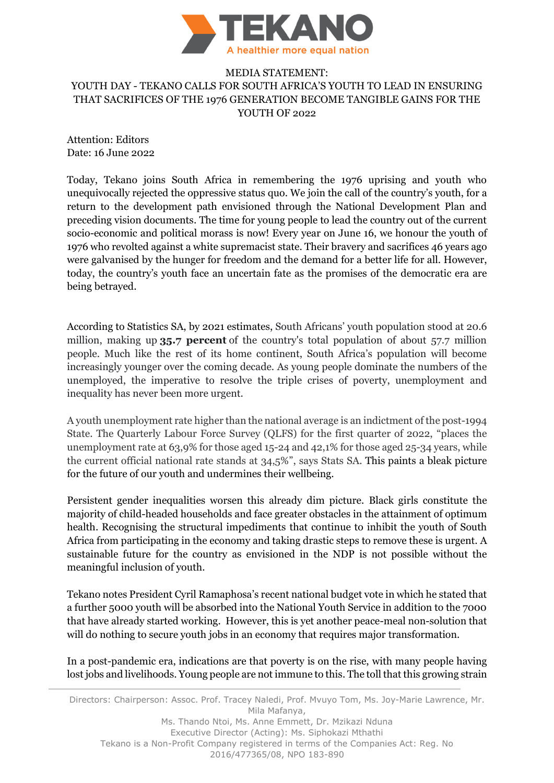

## MEDIA STATEMENT: YOUTH DAY - TEKANO CALLS FOR SOUTH AFRICA'S YOUTH TO LEAD IN ENSURING THAT SACRIFICES OF THE 1976 GENERATION BECOME TANGIBLE GAINS FOR THE YOUTH OF 2022

Attention: Editors Date: 16 June 2022

Today, Tekano joins South Africa in remembering the 1976 uprising and youth who unequivocally rejected the oppressive status quo. We join the call of the country's youth, for a return to the development path envisioned through the National Development Plan and preceding vision documents. The time for young people to lead the country out of the current socio-economic and political morass is now! Every year on June 16, we honour the youth of 1976 who revolted against a white supremacist state. Their bravery and sacrifices 46 years ago were galvanised by the hunger for freedom and the demand for a better life for all. However, today, the country's youth face an uncertain fate as the promises of the democratic era are being betrayed.

According to Statistics SA, by 2021 estimates, South Africans' youth population stood at 20.6 million, making up **35.7 percent** of the country's total population of about 57.7 million people. Much like the rest of its home continent, South Africa's population will become increasingly younger over the coming decade. As young people dominate the numbers of the unemployed, the imperative to resolve the triple crises of poverty, unemployment and inequality has never been more urgent.

A youth unemployment rate higher than the national average is an indictment of the post-1994 State. The Quarterly Labour Force Survey (QLFS) for the first quarter of 2022, "places the unemployment rate at 63,9% for those aged 15-24 and 42,1% for those aged 25-34 years, while the current official national rate stands at 34,5%", says Stats SA. This paints a bleak picture for the future of our youth and undermines their wellbeing.

Persistent gender inequalities worsen this already dim picture. Black girls constitute the majority of child-headed households and face greater obstacles in the attainment of optimum health. Recognising the structural impediments that continue to inhibit the youth of South Africa from participating in the economy and taking drastic steps to remove these is urgent. A sustainable future for the country as envisioned in the NDP is not possible without the meaningful inclusion of youth.

Tekano notes President Cyril Ramaphosa's recent national budget vote in which he stated that a further 5000 youth will be absorbed into the National Youth Service in addition to the 7000 that have already started working. However, this is yet another peace-meal non-solution that will do nothing to secure youth jobs in an economy that requires major transformation.

In a post-pandemic era, indications are that poverty is on the rise, with many people having lost jobs and livelihoods. Young people are not immune to this. The toll that this growing strain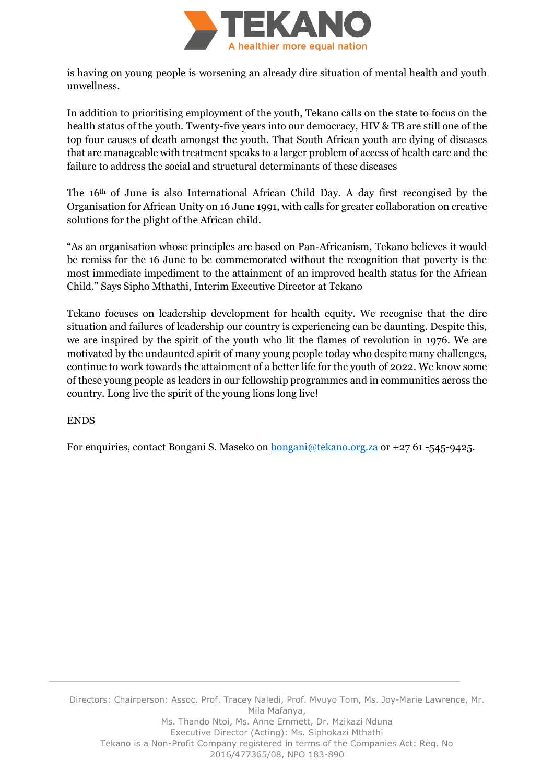

is having on young people is worsening an already dire situation of mental health and youth unwellness.

In addition to prioritising employment of the youth, Tekano calls on the state to focus on the health status of the youth. Twenty-five years into our democracy, HIV & TB are still one of the top four causes of death amongst the youth. That South African youth are dying of diseases that are manageable with treatment speaks to a larger problem of access of health care and the failure to address the social and structural determinants of these diseases

The 16th of June is also International African Child Day. A day first recongised by the Organisation for African Unity on 16 June 1991, with calls for greater collaboration on creative solutions for the plight of the African child.

"As an organisation whose principles are based on Pan-Africanism, Tekano believes it would be remiss for the 16 June to be commemorated without the recognition that poverty is the most immediate impediment to the attainment of an improved health status for the African Child." Says Sipho Mthathi, Interim Executive Director at Tekano

Tekano focuses on leadership development for health equity. We recognise that the dire situation and failures of leadership our country is experiencing can be daunting. Despite this, we are inspired by the spirit of the youth who lit the flames of revolution in 1976. We are motivated by the undaunted spirit of many young people today who despite many challenges, continue to work towards the attainment of a better life for the youth of 2022. We know some of these young people as leaders in our fellowship programmes and in communities across the country. Long live the spirit of the young lions long live!

## ENDS

For enquiries, contact Bongani S. Maseko on [bongani@tekano.org.za](mailto:bongani@tekano.org.za) or +27 61 -545-9425.